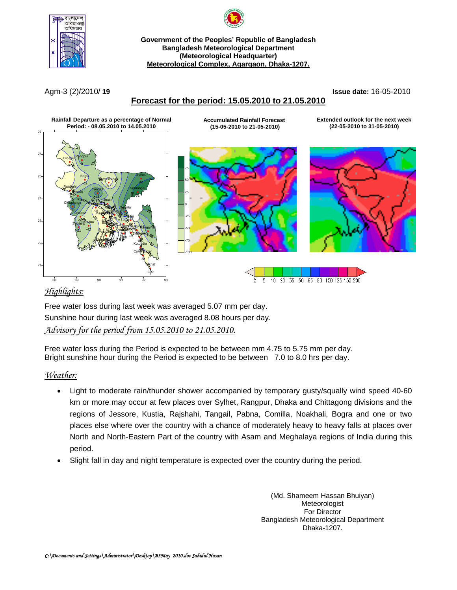

**Government of the Peoples' Republic of Bangladesh Bangladesh Meteorological Department (Meteorological Headquarter) Meteorological Complex, Agargaon, Dhaka-1207.**

Agm-3 (2)/2010/ **19 Issue date:** 16-05-2010

## **Forecast for the period: 15.05.2010 to 21.05.2010**



# *Highlights:*

Free water loss during last week was averaged 5.07 mm per day. Sunshine hour during last week was averaged 8.08 hours per day. *Advisory for the period from 15.05.2010 to 21.05.2010.*

Free water loss during the Period is expected to be between mm 4.75 to 5.75 mm per day. Bright sunshine hour during the Period is expected to be between 7.0 to 8.0 hrs per day.

### *Weather:*

- Light to moderate rain/thunder shower accompanied by temporary gusty/squally wind speed 40-60 km or more may occur at few places over Sylhet, Rangpur, Dhaka and Chittagong divisions and the regions of Jessore, Kustia, Rajshahi, Tangail, Pabna, Comilla, Noakhali, Bogra and one or two places else where over the country with a chance of moderately heavy to heavy falls at places over North and North-Eastern Part of the country with Asam and Meghalaya regions of India during this period.
- Slight fall in day and night temperature is expected over the country during the period.

(Md. Shameem Hassan Bhuiyan) Meteorologist For Director Bangladesh Meteorological Department Dhaka-1207.